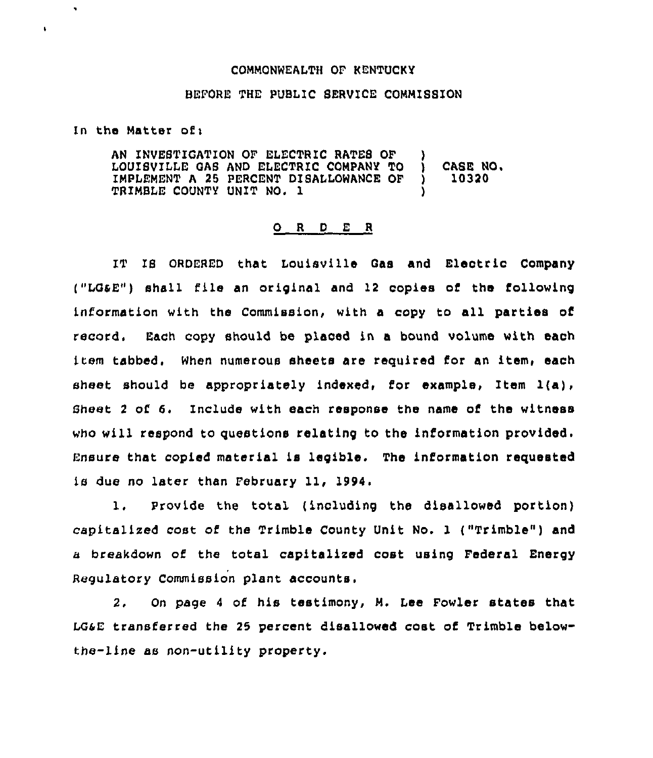## COMMONWEALTH OF kENTUCKY

## BEFORE THE PUBLIC SERVICE COMMISSION

In the Matter of:

 $\ddot{\phantom{0}}$ 

 $\ddot{\phantom{0}}$ 

AN INVESTIGATION OF ELECTRIC RATES OF )<br>LOUISVILLE GAS AND ELECTRIC COMPANY TO ) LOUISVILLE GAS AND ELECTRIC COMPANY TO ) CASE NO.<br>IMPLEMENT A 25 PERCENT DISALLOWANCE OF ) 10320 IMPLEMENT A 25 PERCENT DISALLOWANCE OF TRIMBLE COUNTY UNIT NO. 1 )

## 0 <sup>R</sup> <sup>D</sup> E <sup>R</sup>

IT IS ORDLRED that Louisville Gas and Electric Company ("LGaE") shall file an original and 12 copies of the following information with the Commission, with a copy to all parties of record, Each copy should be placed in a bound volume with each item tabbed, When numerous sheets are required for an item, each sheet should be appropriately indexed, for example, Item  $l(a)$ , Sheet 2 of 6. Include with each response the name of the witness who will respond to questions relating to the information provided. Ensure that copied material is legible. The information requested is due no later than February 11, IS94.

1. Provide the total ( including the disallowed portion) capitalized cost of the Trimble County Unit No. 1 ("Trimble") and a breakdown of the total capitalized cost using Federal Energy Regulatory Commission plant accounts.

2. On page 4 of his testimony, M. Lee Fowler states that LG4E transferred the 25 percent disallowed cost of Trimble belowthe-line as non-utility property.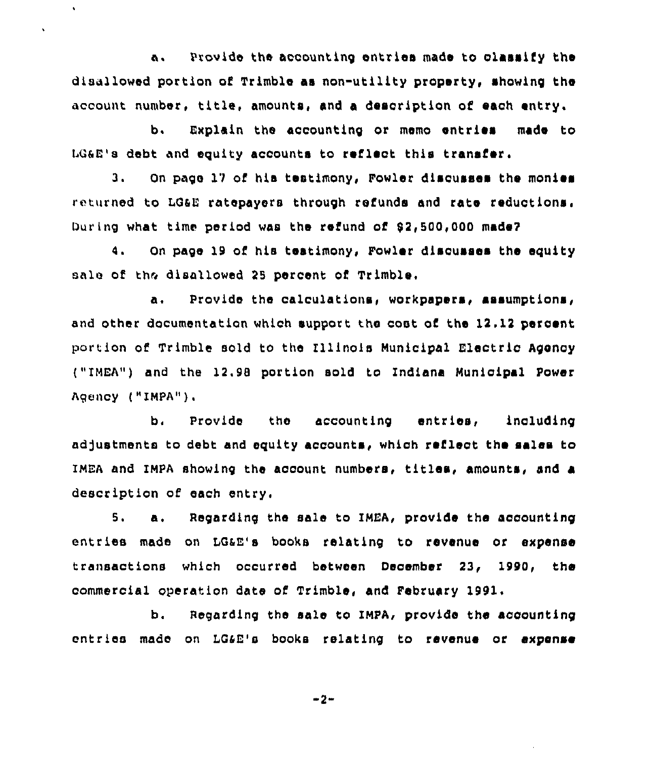a. Provide the accounting entries made to classify the disallowed portion of Trimble as non-utility property, showing the account number, title, amounts, and <sup>a</sup> description of each entry.

 $\ddot{\phantom{0}}$ 

 $\ddot{\phantom{0}}$ 

b. Explain the accounting or memo entries made to LG&E's debt and equity accounts to reflect this transfer.

3. On page 12 of hia testimony, Fowler discusses the monies returned to LG&E ratepayers through refunds and rate reductions. During what time period was the refund of 92,500,000 made?

4. On page 19 of his testimony, Fowler discusses the equity sale of the disallowed 2S percent of Trimble.

a. Provide the calculations, workpapers, assumptions, and other documentation which support the cost of the 12.12 percent portion of Trimble sold to the Illinois Municipal Electric Agency ("IMEA") and the 12.98 portion sold to Indiana Municipal Power Agency {"IMPA").

b. Provide the accounting entries, including adjustments to debt and equity accounts, which reflect the sales to IMEA and IMPA showing the account numbers, titles, amounts, and a description of each entry.

S. a. Regarding the sale to IMEA, provide the accounting entries made on LGAE's books relating to revenue or expense transactions which occurred between December 23, 1990, the commercial operation date of Trimble, and February 1991,

b. Regarding the sale to IMPA, provide the accounting entries made on LG4E's books relating to revenue or expense

2-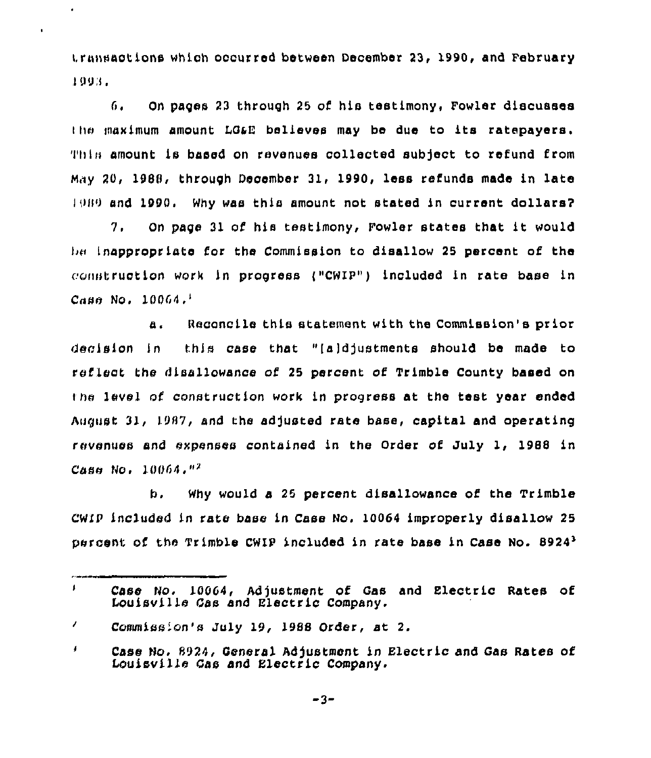transactions which occurred between December 23, 1990, and February I Og,l <sup>~</sup>

 $\epsilon$ 

 $\bullet$ 

G. On pages 23 through 25 of his testimony, Fowler discusses the maximum amount LG&E believes may be due to its ratepayers. 'I'hl» amount is based on revenues collected subject to refund from Mny 20, 1988, through December 31, 1990, less refunds made in late  $1989$  and 1990. Why was this amount not stated in current dollars?

7. On page <sup>31</sup> of his testimony, Fowler states that it would lan Inappropriate for the Commission to disallow 25 percent of the construction work in progress ("CWIP") included in rate base in  $Case No. 10064.$ 

Reconcile this statement with the Commission's prior а. decision in this case that "[a]djustments should be made to reflect the disallowance of 25 percent of Trimble County based on the level of construction work in progress at the test year ended August 31, 1987, and the adjusted rate base, capital and operating revenues and expenses contained in the Order of July 1, 1988 in  $Case$  No.  $10064.$   $^{12}$ 

Why would a 25 percent disallowance of the Trimble b. CWIF included in rate base in Case No. 10064 improperly disallow 25 percent of the Trimble CWIP included in rate base in Case No. 89243

J. Case No. 10064, Adjustment of Gas and Electric Rates of Louisville Gas and Electric Company.

 $\prime$ Commission's July 19, 1988 Order, st 2.

 $\pmb{\sharp}$ Case No. 8924, Genera). Adjustment in Electric and Qas Rates of Louisville Gas and Electric Company.